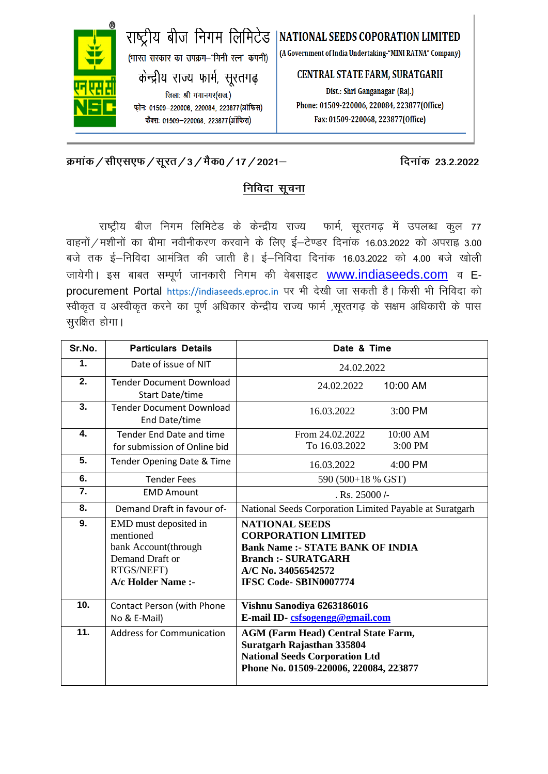

## **[Øekad@lh,l,Q@lwjr@3@eSd0@17@2021&](mailto:�ekad@lh,l,Q@lwjr@11@Vh,l&45@Hk.Mkj@2021&) fnukad 23-2-2022**

### **fidan** सूचना

राष्ट्रीय बीज निगम लिमिटेड के केन्द्रीय राज्य फार्म, सूरतगढ़ में उपलब्ध कुल 77 वाहनों / मशीनों का बीमा नवीनीकरण करवाने के लिए ई-टेण्डर दिनांक 16.03.2022 को अपराह्न 3.00 बजे तक ई–निविदा आमंत्रित की जाती है। ई–निविदा दिनांक 16.03.2022 को 4.00 बजे खोली जायेगी। इस बाबत सम्पूर्ण जानकारी निगम की वेबसाइट [www.indiaseeds.com](http://www.indiaseeds.com/) व Eprocurement Portal https://indiaseeds.eproc.in पर भी देखी जा सकती है। किसी भी निविदा को स्वीकृत व अस्वीकृत करने का पूर्ण अधिकार केन्द्रीय राज्य फार्म ,सूरतगढ़ के सक्षम अधिकारी के पास सूरक्षित होगा।

| Sr.No.           | <b>Particulars Details</b>                                                                                        | Date & Time                                                                                                                                                                         |  |  |  |  |  |  |  |
|------------------|-------------------------------------------------------------------------------------------------------------------|-------------------------------------------------------------------------------------------------------------------------------------------------------------------------------------|--|--|--|--|--|--|--|
| 1.               | Date of issue of NIT                                                                                              | 24.02.2022                                                                                                                                                                          |  |  |  |  |  |  |  |
| 2.               | <b>Tender Document Download</b><br><b>Start Date/time</b>                                                         | 24.02.2022<br>10:00 AM                                                                                                                                                              |  |  |  |  |  |  |  |
| $\overline{3}$ . | <b>Tender Document Download</b><br>End Date/time                                                                  | 3:00 PM<br>16.03.2022                                                                                                                                                               |  |  |  |  |  |  |  |
| 4.               | Tender End Date and time<br>for submission of Online bid                                                          | From 24.02.2022<br>$10:00$ AM<br>To 16.03.2022<br>3:00 PM                                                                                                                           |  |  |  |  |  |  |  |
| 5.               | Tender Opening Date & Time                                                                                        | 16.03.2022<br>4:00 PM                                                                                                                                                               |  |  |  |  |  |  |  |
| 6.               | <b>Tender Fees</b>                                                                                                | 590 (500+18 % GST)                                                                                                                                                                  |  |  |  |  |  |  |  |
| $\overline{7}$ . | <b>EMD Amount</b>                                                                                                 | $Rs. 25000/-$                                                                                                                                                                       |  |  |  |  |  |  |  |
| 8.               | Demand Draft in favour of-                                                                                        | National Seeds Corporation Limited Payable at Suratgarh                                                                                                                             |  |  |  |  |  |  |  |
| 9.               | EMD must deposited in<br>mentioned<br>bank Account(through<br>Demand Draft or<br>RTGS/NEFT)<br>A/c Holder Name :- | <b>NATIONAL SEEDS</b><br><b>CORPORATION LIMITED</b><br><b>Bank Name: - STATE BANK OF INDIA</b><br><b>Branch :- SURATGARH</b><br>A/C No. 34056542572<br><b>IFSC Code-SBIN0007774</b> |  |  |  |  |  |  |  |
| 10.              | <b>Contact Person (with Phone</b><br>No & E-Mail)                                                                 | Vishnu Sanodiya 6263186016<br>E-mail ID-csfsogengg@gmail.com                                                                                                                        |  |  |  |  |  |  |  |
| $\overline{11}$  | <b>Address for Communication</b>                                                                                  | <b>AGM (Farm Head) Central State Farm,</b><br>Suratgarh Rajasthan 335804<br><b>National Seeds Corporation Ltd</b><br>Phone No. 01509-220006, 220084, 223877                         |  |  |  |  |  |  |  |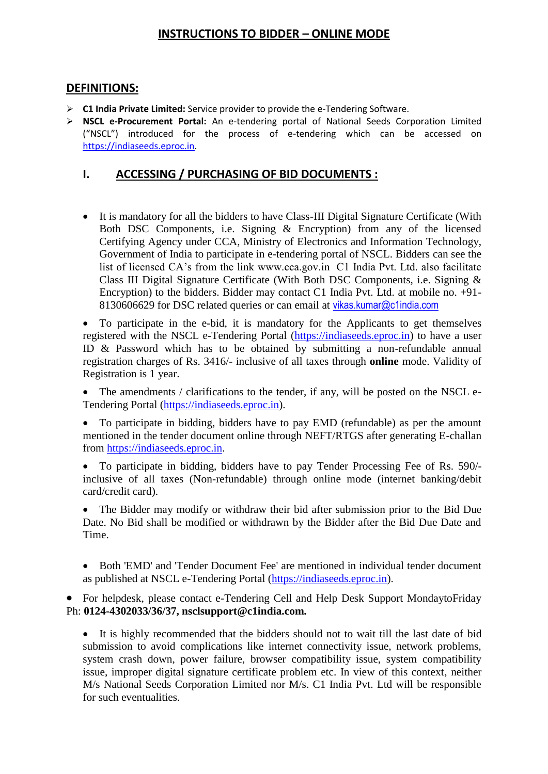#### **INSTRUCTIONS TO BIDDER – ONLINE MODE**

#### **DEFINITIONS:**

- **C1 India Private Limited:** Service provider to provide the e-Tendering Software.
- **NSCL e-Procurement Portal:** An e-tendering portal of National Seeds Corporation Limited ("NSCL") introduced for the process of e-tendering which can be accessed on [https://indiaseeds.eproc.in.](https://indiaseeds.eproc.in/)

#### **I. ACCESSING / PURCHASING OF BID DOCUMENTS :**

 It is mandatory for all the bidders to have Class-III Digital Signature Certificate (With Both DSC Components, i.e. Signing & Encryption) from any of the licensed Certifying Agency under CCA, Ministry of Electronics and Information Technology, Government of India to participate in e-tendering portal of NSCL. Bidders can see the list of licensed CA's from the link www.cca.gov.in C1 India Pvt. Ltd. also facilitate Class III Digital Signature Certificate (With Both DSC Components, i.e. Signing & Encryption) to the bidders. Bidder may contact C1 India Pvt. Ltd. at mobile no. +91- 8130606629 for DSC related queries or can email at vikas.kumar@c1india.com

 To participate in the e-bid, it is mandatory for the Applicants to get themselves registered with the NSCL e-Tendering Portal [\(https://indiaseeds.eproc.in\)](https://indiaseeds.eproc.in/) to have a user ID & Password which has to be obtained by submitting a non-refundable annual registration charges of Rs. 3416/- inclusive of all taxes through **online** mode. Validity of Registration is 1 year.

 The amendments / clarifications to the tender, if any, will be posted on the NSCL e-Tendering Portal [\(https://indiaseeds.eproc.in\)](https://indiaseeds.eproc.in/).

 To participate in bidding, bidders have to pay EMD (refundable) as per the amount mentioned in the tender document online through NEFT/RTGS after generating E-challan from [https://indiaseeds.eproc.in.](https://indiaseeds.eproc.in/)

 To participate in bidding, bidders have to pay Tender Processing Fee of Rs. 590/ inclusive of all taxes (Non-refundable) through online mode (internet banking/debit card/credit card).

• The Bidder may modify or withdraw their bid after submission prior to the Bid Due Date. No Bid shall be modified or withdrawn by the Bidder after the Bid Due Date and Time.

 Both 'EMD' and 'Tender Document Fee' are mentioned in individual tender document as published at NSCL e-Tendering Portal [\(https://indiaseeds.eproc.in\)](https://indiaseeds.eproc.in/).

 For helpdesk, please contact e-Tendering Cell and Help Desk Support MondaytoFriday Ph: **0124-4302033/36/37, nsclsupport@c1india.com.**

 It is highly recommended that the bidders should not to wait till the last date of bid submission to avoid complications like internet connectivity issue, network problems, system crash down, power failure, browser compatibility issue, system compatibility issue, improper digital signature certificate problem etc. In view of this context, neither M/s National Seeds Corporation Limited nor M/s. C1 India Pvt. Ltd will be responsible for such eventualities.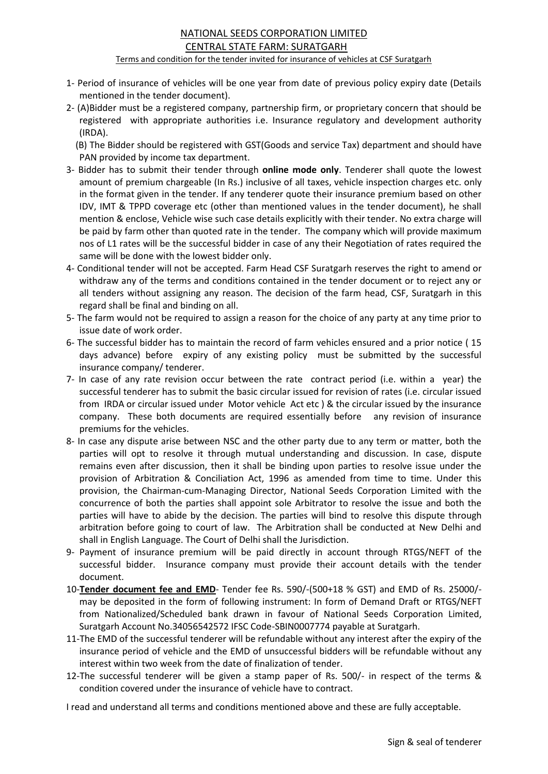## NATIONAL SEEDS CORPORATION LIMITED CENTRAL STATE FARM: SURATGARH

Terms and condition for the tender invited for insurance of vehicles at CSF Suratgarh

- 1- Period of insurance of vehicles will be one year from date of previous policy expiry date (Details mentioned in the tender document).
- 2- (A)Bidder must be a registered company, partnership firm, or proprietary concern that should be registered with appropriate authorities i.e. Insurance regulatory and development authority (IRDA).

 (B) The Bidder should be registered with GST(Goods and service Tax) department and should have PAN provided by income tax department.

- 3- Bidder has to submit their tender through **online mode only**. Tenderer shall quote the lowest amount of premium chargeable (In Rs.) inclusive of all taxes, vehicle inspection charges etc. only in the format given in the tender. If any tenderer quote their insurance premium based on other IDV, IMT & TPPD coverage etc (other than mentioned values in the tender document), he shall mention & enclose, Vehicle wise such case details explicitly with their tender. No extra charge will be paid by farm other than quoted rate in the tender. The company which will provide maximum nos of L1 rates will be the successful bidder in case of any their Negotiation of rates required the same will be done with the lowest bidder only.
- 4- Conditional tender will not be accepted. Farm Head CSF Suratgarh reserves the right to amend or withdraw any of the terms and conditions contained in the tender document or to reject any or all tenders without assigning any reason. The decision of the farm head, CSF, Suratgarh in this regard shall be final and binding on all.
- 5- The farm would not be required to assign a reason for the choice of any party at any time prior to issue date of work order.
- 6- The successful bidder has to maintain the record of farm vehicles ensured and a prior notice ( 15 days advance) before expiry of any existing policy must be submitted by the successful insurance company/ tenderer.
- 7- In case of any rate revision occur between the rate contract period (i.e. within a year) the successful tenderer has to submit the basic circular issued for revision of rates (i.e. circular issued from IRDA or circular issued under Motor vehicle Act etc ) & the circular issued by the insurance company. These both documents are required essentially before any revision of insurance premiums for the vehicles.
- 8- In case any dispute arise between NSC and the other party due to any term or matter, both the parties will opt to resolve it through mutual understanding and discussion. In case, dispute remains even after discussion, then it shall be binding upon parties to resolve issue under the provision of Arbitration & Conciliation Act, 1996 as amended from time to time. Under this provision, the Chairman-cum-Managing Director, National Seeds Corporation Limited with the concurrence of both the parties shall appoint sole Arbitrator to resolve the issue and both the parties will have to abide by the decision. The parties will bind to resolve this dispute through arbitration before going to court of law. The Arbitration shall be conducted at New Delhi and shall in English Language. The Court of Delhi shall the Jurisdiction.
- 9- Payment of insurance premium will be paid directly in account through RTGS/NEFT of the successful bidder. Insurance company must provide their account details with the tender document.
- 10-**Tender document fee and EMD** Tender fee Rs. 590/-(500+18 % GST) and EMD of Rs. 25000/ may be deposited in the form of following instrument: In form of Demand Draft or RTGS/NEFT from Nationalized/Scheduled bank drawn in favour of National Seeds Corporation Limited, Suratgarh Account No.34056542572 IFSC Code-SBIN0007774 payable at Suratgarh.
- 11-The EMD of the successful tenderer will be refundable without any interest after the expiry of the insurance period of vehicle and the EMD of unsuccessful bidders will be refundable without any interest within two week from the date of finalization of tender.
- 12-The successful tenderer will be given a stamp paper of Rs. 500/- in respect of the terms & condition covered under the insurance of vehicle have to contract.

I read and understand all terms and conditions mentioned above and these are fully acceptable.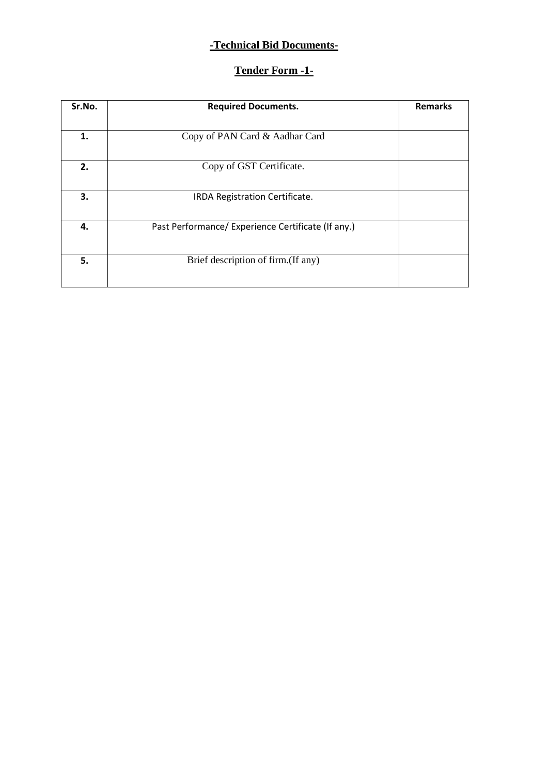#### **-Technical Bid Documents-**

## **Tender Form -1-**

| Sr.No. | <b>Required Documents.</b>                         | <b>Remarks</b> |
|--------|----------------------------------------------------|----------------|
|        |                                                    |                |
| 1.     | Copy of PAN Card & Aadhar Card                     |                |
|        |                                                    |                |
| 2.     | Copy of GST Certificate.                           |                |
|        |                                                    |                |
| 3.     | IRDA Registration Certificate.                     |                |
|        |                                                    |                |
| 4.     | Past Performance/ Experience Certificate (If any.) |                |
|        |                                                    |                |
|        |                                                    |                |
| 5.     | Brief description of firm. (If any)                |                |
|        |                                                    |                |
|        |                                                    |                |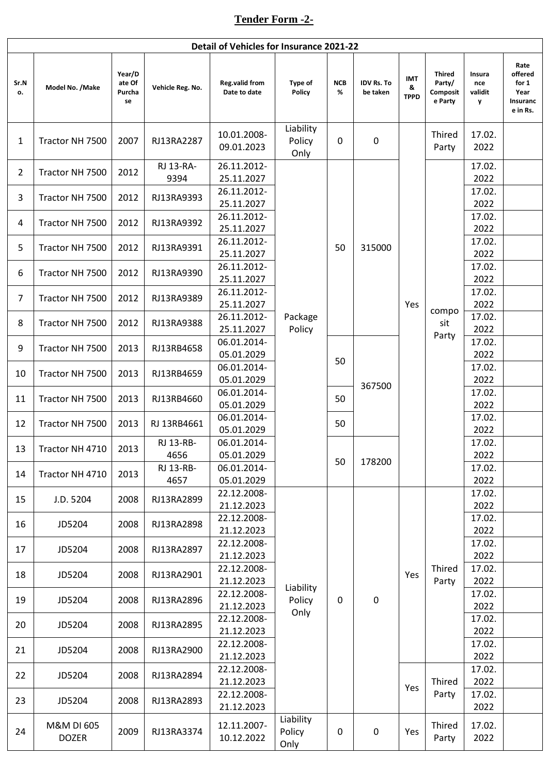# **Tender Form -2-**

|                | Detail of Vehicles for Insurance 2021-22 |                                  |                   |                                       |                             |                 |                               |                                |                                                |                               |                                                          |
|----------------|------------------------------------------|----------------------------------|-------------------|---------------------------------------|-----------------------------|-----------------|-------------------------------|--------------------------------|------------------------------------------------|-------------------------------|----------------------------------------------------------|
| Sr.N<br>о.     | Model No. /Make                          | Year/D<br>ate Of<br>Purcha<br>se | Vehicle Reg. No.  | <b>Reg.valid from</b><br>Date to date | Type of<br>Policy           | <b>NCB</b><br>% | <b>IDV Rs. To</b><br>be taken | <b>IMT</b><br>&<br><b>TPPD</b> | <b>Thired</b><br>Party/<br>Composit<br>e Party | Insura<br>nce<br>validit<br>y | Rate<br>offered<br>for 1<br>Year<br>Insuranc<br>e in Rs. |
| $\mathbf{1}$   | Tractor NH 7500                          | 2007                             | RJ13RA2287        | 10.01.2008-<br>09.01.2023             | Liability<br>Policy<br>Only | 0               | $\mathbf 0$                   |                                | Thired<br>Party                                | 17.02.<br>2022                |                                                          |
| $\overline{2}$ | Tractor NH 7500                          | 2012                             | RJ 13-RA-<br>9394 | 26.11.2012-<br>25.11.2027             |                             |                 |                               |                                |                                                | 17.02.<br>2022                |                                                          |
| 3              | Tractor NH 7500                          | 2012                             | RJ13RA9393        | 26.11.2012-<br>25.11.2027             |                             |                 |                               |                                |                                                | 17.02.<br>2022                |                                                          |
| 4              | Tractor NH 7500                          | 2012                             | RJ13RA9392        | 26.11.2012-<br>25.11.2027             |                             |                 |                               |                                |                                                | 17.02.<br>2022                |                                                          |
| 5              | Tractor NH 7500                          | 2012                             | RJ13RA9391        | 26.11.2012-<br>25.11.2027             |                             | 50              | 315000                        |                                |                                                | 17.02.<br>2022                |                                                          |
| 6              | Tractor NH 7500                          | 2012                             | RJ13RA9390        | 26.11.2012-<br>25.11.2027             |                             |                 |                               |                                |                                                | 17.02.<br>2022                |                                                          |
| $\overline{7}$ | Tractor NH 7500                          | 2012                             | RJ13RA9389        | 26.11.2012-<br>25.11.2027             |                             |                 |                               | Yes<br>367500                  | compo                                          | 17.02.<br>2022                |                                                          |
| 8              | Tractor NH 7500                          | 2012                             | RJ13RA9388        | 26.11.2012-<br>25.11.2027             | Package<br>Policy           |                 |                               |                                | sit<br>Party                                   | 17.02.<br>2022                |                                                          |
| 9              | Tractor NH 7500                          | 2013                             | RJ13RB4658        | 06.01.2014-<br>05.01.2029             |                             | 50              |                               |                                |                                                | 17.02.<br>2022                |                                                          |
| 10             | Tractor NH 7500                          | 2013                             | RJ13RB4659        | 06.01.2014-<br>05.01.2029             |                             |                 |                               |                                |                                                | 17.02.<br>2022                |                                                          |
| 11             | Tractor NH 7500                          | 2013                             | RJ13RB4660        | 06.01.2014-<br>05.01.2029             |                             | 50              |                               |                                |                                                | 17.02.<br>2022                |                                                          |
| 12             | Tractor NH 7500                          | 2013                             | RJ 13RB4661       | 06.01.2014-<br>05.01.2029             |                             | 50              |                               |                                |                                                | 17.02.<br>2022                |                                                          |
| 13             | Tractor NH 4710                          | 2013                             | RJ 13-RB-<br>4656 | 06.01.2014-<br>05.01.2029             |                             | 50              | 178200                        |                                |                                                | 17.02.<br>2022                |                                                          |
| 14             | Tractor NH 4710                          | 2013                             | RJ 13-RB-<br>4657 | 06.01.2014-<br>05.01.2029             |                             |                 |                               |                                |                                                | 17.02.<br>2022                |                                                          |
| 15             | J.D. 5204                                | 2008                             | RJ13RA2899        | 22.12.2008-<br>21.12.2023             |                             |                 |                               |                                |                                                | 17.02.<br>2022                |                                                          |
| 16             | JD5204                                   | 2008                             | RJ13RA2898        | 22.12.2008-<br>21.12.2023             |                             |                 |                               |                                |                                                | 17.02.<br>2022                |                                                          |
| 17             | JD5204                                   | 2008                             | RJ13RA2897        | 22.12.2008-<br>21.12.2023             |                             |                 |                               |                                |                                                | 17.02.<br>2022                |                                                          |
| 18             | JD5204                                   | 2008                             | RJ13RA2901        | 22.12.2008-<br>21.12.2023             | Liability                   |                 | $\pmb{0}$                     | Yes                            | Thired<br>Party                                | 17.02.<br>2022                |                                                          |
| 19             | JD5204                                   | 2008                             | RJ13RA2896        | 22.12.2008-<br>21.12.2023             | Policy<br>Only              | $\mathbf 0$     |                               |                                |                                                | 17.02.<br>2022                |                                                          |
| 20             | JD5204                                   | 2008                             | RJ13RA2895        | 22.12.2008-<br>21.12.2023             |                             |                 |                               |                                |                                                | 17.02.<br>2022                |                                                          |
| 21             | JD5204                                   | 2008                             | RJ13RA2900        | 22.12.2008-<br>21.12.2023             |                             |                 |                               |                                |                                                | 17.02.<br>2022                |                                                          |
| 22             | JD5204                                   | 2008                             | RJ13RA2894        | 22.12.2008-<br>21.12.2023             |                             |                 |                               | Yes                            | Thired<br>Party                                | 17.02.<br>2022                |                                                          |
| 23             | JD5204                                   | 2008                             | RJ13RA2893        | 22.12.2008-<br>21.12.2023             |                             |                 |                               |                                |                                                | 17.02.<br>2022                |                                                          |
| 24             | M&M DI 605<br><b>DOZER</b>               | 2009                             | RJ13RA3374        | 12.11.2007-<br>10.12.2022             | Liability<br>Policy<br>Only | 0               | $\pmb{0}$                     | Yes                            | Thired<br>Party                                | 17.02.<br>2022                |                                                          |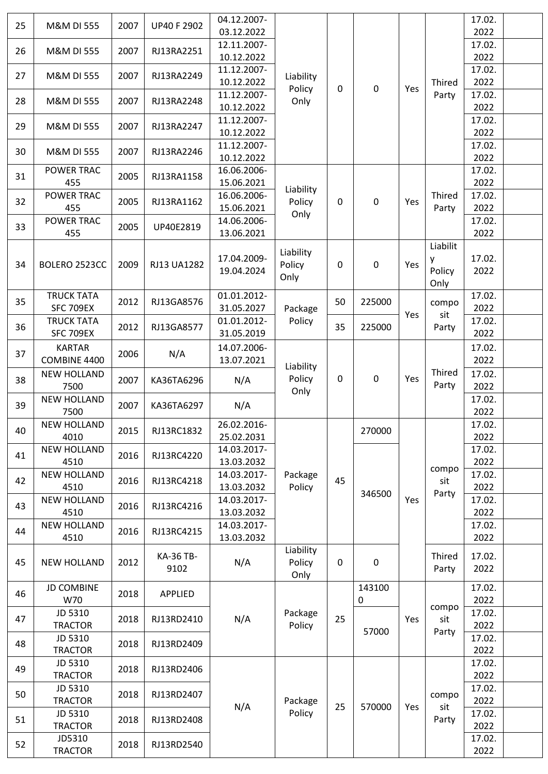| 25 | M&M DI 555                 | 2007 | <b>UP40 F 2902</b> | 04.12.2007-               |                             |                  |                  |     |                       | 17.02.         |  |
|----|----------------------------|------|--------------------|---------------------------|-----------------------------|------------------|------------------|-----|-----------------------|----------------|--|
|    |                            |      |                    | 03.12.2022                |                             |                  |                  |     |                       | 2022           |  |
| 26 | <b>M&amp;M DI 555</b>      | 2007 | RJ13RA2251         | 12.11.2007-<br>10.12.2022 |                             |                  |                  |     |                       | 17.02.<br>2022 |  |
|    |                            |      |                    | 11.12.2007-               |                             |                  |                  |     |                       | 17.02.         |  |
| 27 | M&M DI 555                 | 2007 | RJ13RA2249         | 10.12.2022                | Liability                   |                  |                  |     | Thired                | 2022           |  |
|    |                            |      |                    | 11.12.2007-               | Policy                      | $\mathbf 0$      | $\pmb{0}$        | Yes | Party                 | 17.02.         |  |
| 28 | <b>M&amp;M DI 555</b>      | 2007 | RJ13RA2248         | 10.12.2022                | Only                        |                  |                  |     |                       | 2022           |  |
|    |                            |      |                    | 11.12.2007-               |                             |                  |                  |     |                       | 17.02.         |  |
| 29 | M&M DI 555                 | 2007 | RJ13RA2247         | 10.12.2022                |                             |                  |                  |     |                       | 2022           |  |
| 30 | M&M DI 555                 | 2007 | RJ13RA2246         | 11.12.2007-               |                             |                  |                  |     |                       | 17.02.         |  |
|    |                            |      |                    | 10.12.2022                |                             |                  |                  |     |                       | 2022           |  |
| 31 | POWER TRAC                 | 2005 | RJ13RA1158         | 16.06.2006-               |                             |                  |                  |     |                       | 17.02.         |  |
|    | 455                        |      |                    | 15.06.2021                | Liability                   |                  |                  |     |                       | 2022           |  |
| 32 | POWER TRAC<br>455          | 2005 | RJ13RA1162         | 16.06.2006-<br>15.06.2021 | Policy                      | $\mathbf 0$      | $\pmb{0}$        | Yes | Thired<br>Party       | 17.02.<br>2022 |  |
|    | <b>POWER TRAC</b>          |      |                    | 14.06.2006-               | Only                        |                  |                  |     |                       | 17.02.         |  |
| 33 | 455                        | 2005 | UP40E2819          | 13.06.2021                |                             |                  |                  |     |                       | 2022           |  |
|    |                            |      |                    |                           |                             |                  |                  |     | Liabilit              |                |  |
|    |                            |      |                    | 17.04.2009-               | Liability                   |                  |                  |     | y                     | 17.02.         |  |
| 34 | BOLERO 2523CC              | 2009 | RJ13 UA1282        | 19.04.2024                | Policy                      | 0                | $\boldsymbol{0}$ | Yes | Policy                | 2022           |  |
|    |                            |      |                    |                           | Only                        |                  |                  |     | Only                  |                |  |
| 35 | <b>TRUCK TATA</b>          | 2012 | RJ13GA8576         | 01.01.2012-               |                             | 50               | 225000           |     | compo                 | 17.02.         |  |
|    | <b>SFC 709EX</b>           |      |                    | 31.05.2027                | Package                     |                  |                  | Yes | sit                   | 2022           |  |
| 36 | <b>TRUCK TATA</b>          | 2012 | RJ13GA8577         | 01.01.2012-               | Policy                      | 35               | 225000           |     | Party                 | 17.02.         |  |
|    | <b>SFC 709EX</b>           |      |                    | 31.05.2019                |                             |                  |                  |     |                       | 2022           |  |
| 37 | <b>KARTAR</b>              | 2006 | N/A                | 14.07.2006-               |                             |                  |                  |     |                       | 17.02.         |  |
|    | COMBINE 4400               |      |                    | 13.07.2021                | Liability<br>Policy<br>Only |                  |                  |     |                       | 2022           |  |
| 38 | <b>NEW HOLLAND</b><br>7500 | 2007 | KA36TA6296         | N/A                       |                             | $\mathbf 0$      | $\pmb{0}$        | Yes | Thired<br>Party       | 17.02.         |  |
|    | <b>NEW HOLLAND</b>         |      | KA36TA6297         | N/A                       |                             |                  |                  |     |                       | 2022<br>17.02. |  |
| 39 | 7500                       | 2007 |                    |                           |                             |                  |                  |     |                       | 2022           |  |
|    | <b>NEW HOLLAND</b>         |      |                    | 26.02.2016-               |                             |                  |                  |     |                       | 17.02.         |  |
| 40 | 4010                       | 2015 | RJ13RC1832         | 25.02.2031                |                             |                  | 270000           |     |                       | 2022           |  |
|    | <b>NEW HOLLAND</b>         |      |                    | 14.03.2017-               |                             |                  |                  |     |                       | 17.02.         |  |
| 41 | 4510                       | 2016 | RJ13RC4220         | 13.03.2032                |                             |                  |                  | Yes | compo<br>sit<br>Party | 2022           |  |
| 42 | <b>NEW HOLLAND</b>         | 2016 | RJ13RC4218         | 14.03.2017-               | Package                     | 45               |                  |     |                       | 17.02.         |  |
|    | 4510                       |      |                    | 13.03.2032                | Policy                      |                  | 346500           |     |                       | 2022           |  |
| 43 | <b>NEW HOLLAND</b>         | 2016 | RJ13RC4216         | 14.03.2017-               |                             |                  |                  |     |                       | 17.02.         |  |
|    | 4510                       |      |                    | 13.03.2032                |                             |                  |                  |     |                       | 2022           |  |
| 44 | <b>NEW HOLLAND</b><br>4510 | 2016 | RJ13RC4215         | 14.03.2017-<br>13.03.2032 |                             |                  |                  |     |                       | 17.02.<br>2022 |  |
|    |                            |      |                    |                           | Liability                   |                  |                  |     |                       |                |  |
| 45 | <b>NEW HOLLAND</b>         | 2012 | KA-36 TB-          | N/A                       | Policy                      | $\boldsymbol{0}$ | $\pmb{0}$        |     | Thired                | 17.02.         |  |
|    |                            |      | 9102               |                           | Only                        |                  |                  |     | Party                 | 2022           |  |
| 46 | <b>JD COMBINE</b>          | 2018 | <b>APPLIED</b>     |                           |                             |                  | 143100           |     |                       | 17.02.         |  |
|    | W70                        |      |                    |                           |                             |                  | $\mathbf 0$      |     |                       | 2022           |  |
| 47 | JD 5310                    | 2018 | RJ13RD2410         | N/A                       | Package                     | 25               |                  | Yes | compo<br>sit          | 17.02.         |  |
|    | <b>TRACTOR</b>             |      |                    |                           | Policy                      |                  | 57000            |     | Party                 | 2022           |  |
| 48 | JD 5310                    | 2018 | RJ13RD2409         |                           |                             |                  |                  |     |                       | 17.02.         |  |
|    | <b>TRACTOR</b>             |      |                    |                           |                             |                  |                  |     |                       | 2022           |  |
| 49 | JD 5310<br><b>TRACTOR</b>  | 2018 | RJ13RD2406         |                           |                             |                  |                  |     |                       | 17.02.<br>2022 |  |
|    | JD 5310                    |      |                    |                           |                             |                  |                  |     |                       | 17.02.         |  |
| 50 | <b>TRACTOR</b>             | 2018 | RJ13RD2407         |                           | Package                     |                  |                  |     | compo                 | 2022           |  |
|    | JD 5310                    |      |                    | N/A                       | Policy                      | 25               | 570000           | Yes | sit                   | 17.02.         |  |
| 51 | <b>TRACTOR</b>             | 2018 | RJ13RD2408         |                           |                             |                  |                  |     | Party                 | 2022           |  |
|    | JD5310                     |      |                    |                           |                             |                  |                  |     |                       | 17.02.         |  |
| 52 | <b>TRACTOR</b>             | 2018 | RJ13RD2540         |                           |                             |                  |                  |     |                       | 2022           |  |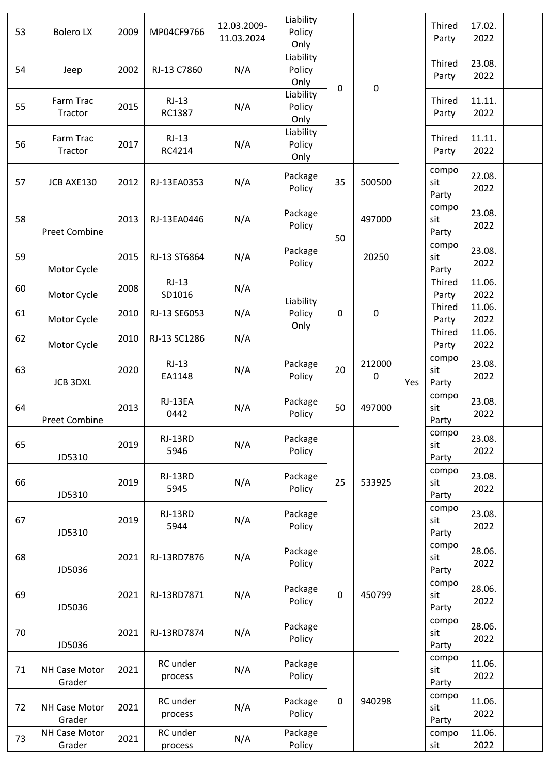| 53 | <b>Bolero LX</b>        | 2009 | MP04CF9766          | 12.03.2009-<br>11.03.2024 | Liability<br>Policy<br>Only |             |                     |     | Thired<br>Party       | 17.02.<br>2022 |  |
|----|-------------------------|------|---------------------|---------------------------|-----------------------------|-------------|---------------------|-----|-----------------------|----------------|--|
| 54 | Jeep                    | 2002 | RJ-13 C7860         | N/A                       | Liability<br>Policy<br>Only |             | $\pmb{0}$           |     | Thired<br>Party       | 23.08.<br>2022 |  |
| 55 | Farm Trac<br>Tractor    | 2015 | $RJ-13$<br>RC1387   | N/A                       | Liability<br>Policy<br>Only | $\mathbf 0$ |                     |     | Thired<br>Party       | 11.11.<br>2022 |  |
| 56 | Farm Trac<br>Tractor    | 2017 | $RJ-13$<br>RC4214   | N/A                       | Liability<br>Policy<br>Only |             |                     |     | Thired<br>Party       | 11.11.<br>2022 |  |
| 57 | JCB AXE130              | 2012 | RJ-13EA0353         | N/A                       | Package<br>Policy           | 35          | 500500              |     | compo<br>sit<br>Party | 22.08.<br>2022 |  |
| 58 | <b>Preet Combine</b>    | 2013 | RJ-13EA0446         | N/A                       | Package<br>Policy           | 50          | 497000              |     | compo<br>sit<br>Party | 23.08.<br>2022 |  |
| 59 | Motor Cycle             | 2015 | RJ-13 ST6864        | N/A                       | Package<br>Policy           |             | 20250               |     | compo<br>sit<br>Party | 23.08.<br>2022 |  |
| 60 | Motor Cycle             | 2008 | $RJ-13$<br>SD1016   | N/A                       |                             |             |                     |     | Thired<br>Party       | 11.06.<br>2022 |  |
| 61 | Motor Cycle             | 2010 | RJ-13 SE6053        | N/A                       | Liability<br>Policy         | $\mathbf 0$ | $\pmb{0}$           |     | Thired<br>Party       | 11.06.<br>2022 |  |
| 62 | Motor Cycle             | 2010 | RJ-13 SC1286        | N/A                       | Only                        |             |                     |     | Thired<br>Party       | 11.06.<br>2022 |  |
| 63 | <b>JCB 3DXL</b>         | 2020 | $RJ-13$<br>EA1148   | N/A                       | Package<br>Policy           | 20          | 212000<br>$\pmb{0}$ | Yes | compo<br>sit<br>Party | 23.08.<br>2022 |  |
| 64 | <b>Preet Combine</b>    | 2013 | RJ-13EA<br>0442     | N/A                       | Package<br>Policy           | 50          | 497000              |     | compo<br>sit<br>Party | 23.08.<br>2022 |  |
| 65 | JD5310                  | 2019 | RJ-13RD<br>5946     | N/A                       | Package<br>Policy           |             |                     |     | compo<br>sit<br>Party | 23.08.<br>2022 |  |
| 66 | JD5310                  | 2019 | RJ-13RD<br>5945     | N/A                       | Package<br>Policy           | 25          | 533925              |     | compo<br>sit<br>Party | 23.08.<br>2022 |  |
| 67 | JD5310                  | 2019 | RJ-13RD<br>5944     | N/A                       | Package<br>Policy           |             |                     |     | compo<br>sit<br>Party | 23.08.<br>2022 |  |
| 68 | JD5036                  | 2021 | RJ-13RD7876         | N/A                       | Package<br>Policy           |             |                     |     | compo<br>sit<br>Party | 28.06.<br>2022 |  |
| 69 | JD5036                  | 2021 | RJ-13RD7871         | N/A                       | Package<br>Policy           | $\pmb{0}$   | 450799              |     | compo<br>sit<br>Party | 28.06.<br>2022 |  |
| 70 | JD5036                  | 2021 | RJ-13RD7874         | N/A                       | Package<br>Policy           |             |                     |     | compo<br>sit<br>Party | 28.06.<br>2022 |  |
| 71 | NH Case Motor<br>Grader | 2021 | RC under<br>process | N/A                       | Package<br>Policy           |             |                     |     | compo<br>sit<br>Party | 11.06.<br>2022 |  |
| 72 | NH Case Motor<br>Grader | 2021 | RC under<br>process | N/A                       | Package<br>Policy           | $\mathbf 0$ | 940298              |     | compo<br>sit<br>Party | 11.06.<br>2022 |  |
| 73 | NH Case Motor<br>Grader | 2021 | RC under<br>process | N/A                       | Package<br>Policy           |             |                     |     | compo<br>sit          | 11.06.<br>2022 |  |